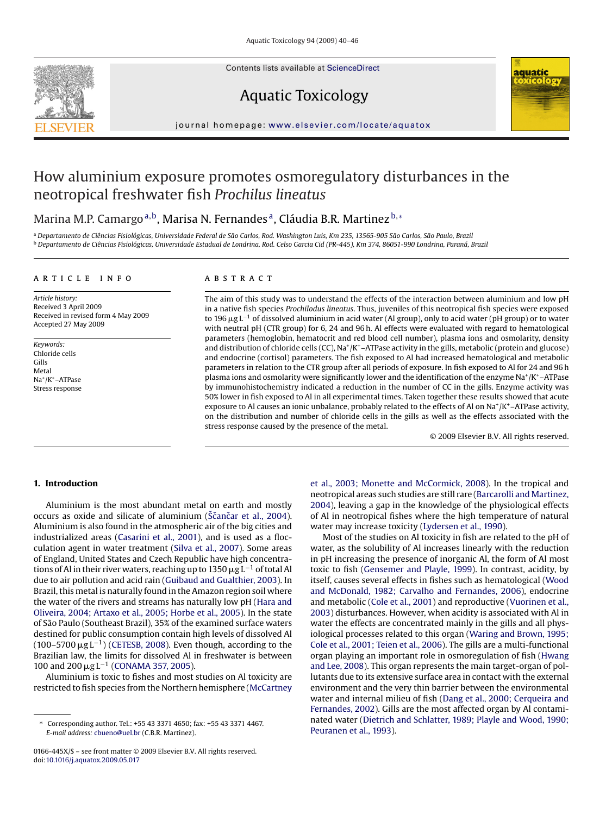Contents lists available at [ScienceDirect](http://www.sciencedirect.com/science/journal/0166445X)



# Aquatic Toxicology

journal homepage: [www.elsevier.com/locate/aquatox](http://www.elsevier.com/locate/aquatox)

## How aluminium exposure promotes osmoregulatory disturbances in the neotropical freshwater fish *Prochilus lineatus*

### Marina M.P. Camargo<sup>a,b</sup>, Marisa N. Fernandes<sup>a</sup>, Cláudia B.R. Martinez b,\*

<sup>a</sup> *Departamento de Ciências Fisiológicas, Universidade Federal de São Carlos, Rod. Washington Luis, Km 235, 13565-905 São Carlos, São Paulo, Brazil* <sup>b</sup> *Departamento de Ciências Fisiológicas, Universidade Estadual de Londrina, Rod. Celso Garcia Cid (PR-445), Km 374, 86051-990 Londrina, Paraná, Brazil*

#### article info

*Article history:* Received 3 April 2009 Received in revised form 4 May 2009 Accepted 27 May 2009

*Keywords:* Chloride cells Gills Metal Na+/K+–ATPase Stress response

#### **ABSTRACT**

The aim of this study was to understand the effects of the interaction between aluminium and low pH in a native fish species *Prochilodus lineatus*. Thus, juveniles of this neotropical fish species were exposed to 196 µg L<sup>−1</sup> of dissolved aluminium in acid water (Al group), only to acid water (pH group) or to water with neutral pH (CTR group) for 6, 24 and 96 h. Al effects were evaluated with regard to hematological parameters (hemoglobin, hematocrit and red blood cell number), plasma ions and osmolarity, density and distribution of chloride cells (CC),  $Na^+/K^+$ –ATPase activity in the gills, metabolic (protein and glucose) and endocrine (cortisol) parameters. The fish exposed to Al had increased hematological and metabolic parameters in relation to the CTR group after all periods of exposure. In fish exposed to Al for 24 and 96 h plasma ions and osmolarity were significantly lower and the identification of the enzyme Na+/K+–ATPase by immunohistochemistry indicated a reduction in the number of CC in the gills. Enzyme activity was 50% lower in fish exposed to Al in all experimental times. Taken together these results showed that acute exposure to Al causes an ionic unbalance, probably related to the effects of Al on Na $^*/K^*$ –ATPase activity, on the distribution and number of chloride cells in the gills as well as the effects associated with the stress response caused by the presence of the metal.

© 2009 Elsevier B.V. All rights reserved.

#### **1. Introduction**

Aluminium is the most abundant metal on earth and mostly occurs as oxide and silicate of aluminium (Ščančar [et al., 2004](#page-6-0)). Aluminium is also found in the atmospheric air of the big cities and industrialized areas ([Casarini et al., 2001\),](#page-5-0) and is used as a flocculation agent in water treatment [\(Silva et al., 2007\).](#page-6-0) Some areas of England, United States and Czech Republic have high concentrations of Al in their river waters, reaching up to 1350  $\rm \mu g \, L^{-1}$  of total Al due to air pollution and acid rain ([Guibaud and Gualthier, 2003\).](#page-6-0) In Brazil, this metal is naturally found in the Amazon region soil where the water of the rivers and streams has naturally low pH [\(Hara and](#page-6-0) [Oliveira, 2004; Artaxo et al., 2005; Horbe et al., 2005\).](#page-6-0) In the state of São Paulo (Southeast Brazil), 35% of the examined surface waters destined for public consumption contain high levels of dissolved Al (100–5700  $\mu$ g L<sup>−1</sup>) ([CETESB, 2008\).](#page-6-0) Even though, according to the Brazilian law, the limits for dissolved Al in freshwater is between 100 and 200  $\mu$ g L<sup>-1</sup> [\(CONAMA 357, 2005\).](#page-6-0)

Aluminium is toxic to fishes and most studies on Al toxicity are restricted to fish species from the Northern hemisphere ([McCartney](#page-6-0) [et al., 2003; Monette and McCormick, 2008\).](#page-6-0) In the tropical and neotropical areas such studies are still rare [\(Barcarolli and Martinez,](#page-5-0) [2004\),](#page-5-0) leaving a gap in the knowledge of the physiological effects of Al in neotropical fishes where the high temperature of natural water may increase toxicity [\(Lydersen et al., 1990\).](#page-6-0)

Most of the studies on Al toxicity in fish are related to the pH of water, as the solubility of Al increases linearly with the reduction in pH increasing the presence of inorganic Al, the form of Al most toxic to fish [\(Gensemer and Playle, 1999\).](#page-6-0) In contrast, acidity, by itself, causes several effects in fishes such as hematological [\(Wood](#page-6-0) [and McDonald, 1982; Carvalho and Fernandes, 2006\),](#page-6-0) endocrine and metabolic [\(Cole et al., 2001\)](#page-6-0) and reproductive [\(Vuorinen et al.,](#page-6-0) [2003\) d](#page-6-0)isturbances. However, when acidity is associated with Al in water the effects are concentrated mainly in the gills and all physiological processes related to this organ ([Waring and Brown, 1995;](#page-6-0) [Cole et al., 2001; Teien et al., 2006\).](#page-6-0) The gills are a multi-functional organ playing an important role in osmoregulation of fish ([Hwang](#page-6-0) [and Lee, 2008\).](#page-6-0) This organ represents the main target-organ of pollutants due to its extensive surface area in contact with the external environment and the very thin barrier between the environmental water and internal milieu of fish [\(Dang et al., 2000; Cerqueira and](#page-6-0) [Fernandes, 2002\).](#page-6-0) Gills are the most affected organ by Al contaminated water [\(Dietrich and Schlatter, 1989; Playle and Wood, 1990;](#page-6-0) [Peuranen et al., 1993\).](#page-6-0)

<sup>∗</sup> Corresponding author. Tel.: +55 43 3371 4650; fax: +55 43 3371 4467. *E-mail address:* [cbueno@uel.br](mailto:cbueno@uel.br) (C.B.R. Martinez).

<sup>0166-445</sup>X/\$ – see front matter © 2009 Elsevier B.V. All rights reserved. doi:[10.1016/j.aquatox.2009.05.017](dx.doi.org/10.1016/j.aquatox.2009.05.017)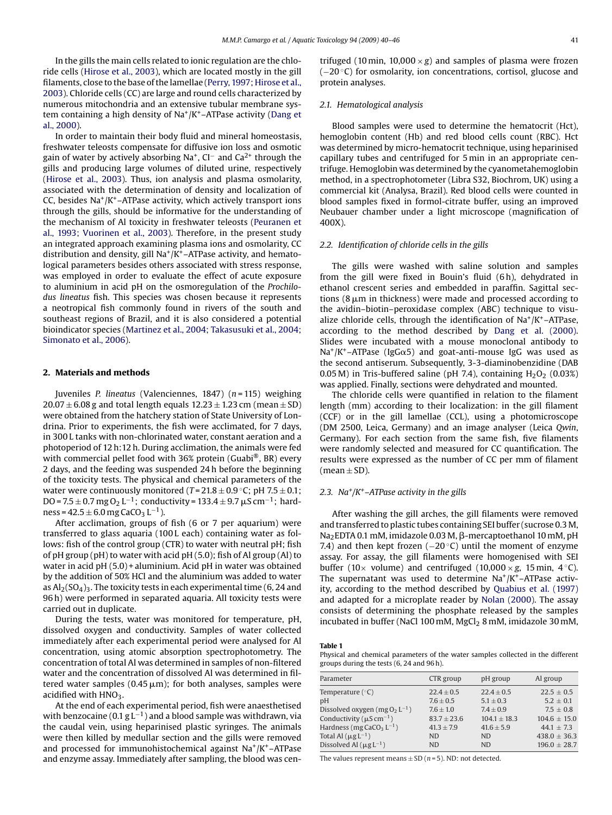<span id="page-1-0"></span>In the gills the main cells related to ionic regulation are the chloride cells ([Hirose et al., 2003\),](#page-6-0) which are located mostly in the gill filaments, close to the base of the lamellae [\(Perry, 1997; Hirose et al.,](#page-6-0) [2003\).](#page-6-0) Chloride cells (CC) are large and round cells characterized by numerous mitochondria and an extensive tubular membrane system containing a high density of  $Na^+/K^+$ –ATPase activity ([Dang et](#page-6-0) [al., 2000\).](#page-6-0)

In order to maintain their body fluid and mineral homeostasis, freshwater teleosts compensate for diffusive ion loss and osmotic gain of water by actively absorbing Na<sup>+</sup>, CI<sup>-</sup> and Ca<sup>2+</sup> through the gills and producing large volumes of diluted urine, respectively ([Hirose et al., 2003\).](#page-6-0) Thus, ion analysis and plasma osmolarity, associated with the determination of density and localization of CC, besides  $Na^+/K^+$ –ATPase activity, which actively transport ions through the gills, should be informative for the understanding of the mechanism of Al toxicity in freshwater teleosts [\(Peuranen et](#page-6-0) [al., 1993; Vuorinen et al., 2003\).](#page-6-0) Therefore, in the present study an integrated approach examining plasma ions and osmolarity, CC distribution and density, gill  $Na^+/K^+$ –ATPase activity, and hematological parameters besides others associated with stress response, was employed in order to evaluate the effect of acute exposure to aluminium in acid pH on the osmoregulation of the *Prochilodus lineatus* fish. This species was chosen because it represents a neotropical fish commonly found in rivers of the south and southeast regions of Brazil, and it is also considered a potential bioindicator species ([Martinez et al., 2004; Takasusuki et al., 2004;](#page-6-0) [Simonato et al., 2006\).](#page-6-0)

#### **2. Materials and methods**

Juveniles *P. lineatus* (Valenciennes, 1847) (*n* = 115) weighing  $20.07 \pm 6.08$  g and total length equals  $12.23 \pm 1.23$  cm (mean  $\pm$  SD) were obtained from the hatchery station of State University of Londrina. Prior to experiments, the fish were acclimated, for 7 days, in 300 L tanks with non-chlorinated water, constant aeration and a photoperiod of 12 h:12 h. During acclimation, the animals were fed with commercial pellet food with 36% protein (Guabi<sup>®</sup>, BR) every 2 days, and the feeding was suspended 24 h before the beginning of the toxicity tests. The physical and chemical parameters of the water were continuously monitored ( $T = 21.8 \pm 0.9$ °C; pH 7.5  $\pm$ 0.1; DO = 7.5  $\pm$  0.7 mg O<sub>2</sub> L<sup>-1</sup>; conductivity = 133.4  $\pm$  9.7  $\mu$ S cm<sup>-1</sup>; hardness =  $42.5 \pm 6.0$  mg CaCO<sub>3</sub> L<sup>-1</sup>).

After acclimation, groups of fish (6 or 7 per aquarium) were transferred to glass aquaria (100 L each) containing water as follows: fish of the control group (CTR) to water with neutral pH; fish of pH group (pH) to water with acid pH (5.0); fish of Al group (Al) to water in acid pH (5.0) + aluminium. Acid pH in water was obtained by the addition of 50% HCl and the aluminium was added to water as  $\text{Al}_2(\text{SO}_4)_3$ . The toxicity tests in each experimental time (6, 24 and 96 h) were performed in separated aquaria. All toxicity tests were carried out in duplicate.

During the tests, water was monitored for temperature, pH, dissolved oxygen and conductivity. Samples of water collected immediately after each experimental period were analysed for Al concentration, using atomic absorption spectrophotometry. The concentration of total Al was determined in samples of non-filtered water and the concentration of dissolved Al was determined in filtered water samples (0.45  $\mu$ m); for both analyses, samples were acidified with  $HNO<sub>3</sub>$ .

At the end of each experimental period, fish were anaesthetised with benzocaine (0.1  $g L^{-1}$ ) and a blood sample was withdrawn, via the caudal vein, using heparinised plastic syringes. The animals were then killed by medullar section and the gills were removed and processed for immunohistochemical against  $Na^+/K^+$ –ATPase and enzyme assay. Immediately after sampling, the blood was centrifuged (10 min, 10,000  $\times$  *g*) and samples of plasma were frozen (−20 ◦C) for osmolarity, ion concentrations, cortisol, glucose and protein analyses.

#### *2.1. Hematological analysis*

Blood samples were used to determine the hematocrit (Hct), hemoglobin content (Hb) and red blood cells count (RBC). Hct was determined by micro-hematocrit technique, using heparinised capillary tubes and centrifuged for 5 min in an appropriate centrifuge. Hemoglobin was determined by the cyanometahemoglobin method, in a spectrophotometer (Libra S32, Biochrom, UK) using a commercial kit (Analysa, Brazil). Red blood cells were counted in blood samples fixed in formol-citrate buffer, using an improved Neubauer chamber under a light microscope (magnification of 400X).

#### *2.2. Identification of chloride cells in the gills*

The gills were washed with saline solution and samples from the gill were fixed in Bouin's fluid (6 h), dehydrated in ethanol crescent series and embedded in paraffin. Sagittal sections (8  $\mu$ m in thickness) were made and processed according to the avidin–biotin–peroxidase complex (ABC) technique to visualize chloride cells, through the identification of  $Na^+/K^+$ –ATPase, according to the method described by [Dang et al. \(2000\).](#page-6-0) Slides were incubated with a mouse monoclonal antibody to Na<sup>+</sup>/K<sup>+</sup>–ATPase (IgG $\alpha$ 5) and goat-anti-mouse IgG was used as the second antiserum. Subsequently, 3-3-diaminobenzidine (DAB 0.05 M) in Tris-buffered saline (pH 7.4), containing  $H_2O_2$  (0.03%) was applied. Finally, sections were dehydrated and mounted.

The chloride cells were quantified in relation to the filament length (mm) according to their localization: in the gill filament (CCF) or in the gill lamellae (CCL), using a photomicroscope (DM 2500, Leica, Germany) and an image analyser (Leica *Qwin*, Germany). For each section from the same fish, five filaments were randomly selected and measured for CC quantification. The results were expressed as the number of CC per mm of filament (mean  $\pm$  SD).

#### *2.3. Na+/K+–ATPase activity in the gills*

After washing the gill arches, the gill filaments were removed and transferred to plastic tubes containing SEI buffer (sucrose 0.3 M,  $Na<sub>2</sub>EDTA 0.1$  mM, imidazole 0.03 M,  $\beta$ -mercaptoethanol 10 mM, pH 7.4) and then kept frozen ( $-20$  °C) until the moment of enzyme assay. For assay, the gill filaments were homogenised with SEI buffer (10 $\times$  volume) and centrifuged (10,000 $\times$ g, 15 min, 4 °C). The supernatant was used to determine  $Na^+/K^+$ –ATPase activity, according to the method described by [Quabius et al. \(1997\)](#page-6-0) and adapted for a microplate reader by [Nolan \(2000\).](#page-6-0) The assay consists of determining the phosphate released by the samples incubated in buffer (NaCl 100 mM,  $MgCl<sub>2</sub> 8$  mM, imidazole 30 mM,

**Table 1**

Physical and chemical parameters of the water samples collected in the different groups during the tests (6, 24 and 96 h).

| Parameter                                 | CTR group       | pH group       | Al group         |
|-------------------------------------------|-----------------|----------------|------------------|
| Temperature $(°C)$                        | $22.4 \pm 0.5$  | $22.4 + 0.5$   | $22.5 + 0.5$     |
| pH                                        | $7.6 + 0.5$     | $5.1 + 0.3$    | $5.2 + 0.1$      |
| Dissolved oxygen (mg $O_2 L^{-1}$ )       | $7.6 + 1.0$     | $7.4 + 0.9$    | $7.5 \pm 0.8$    |
| Conductivity ( $\mu$ S cm <sup>-1</sup> ) | $83.7 \pm 23.6$ | $104.1 + 18.3$ | $104.6 \pm 15.0$ |
| Hardness (mg CaCO <sub>3</sub> $L^{-1}$ ) | $41.3 + 7.9$    | $41.6 + 5.9$   | $44.1 + 7.3$     |
| Total Al $(\mu g L^{-1})$                 | <b>ND</b>       | ND.            | $438.0 \pm 36.3$ |
| Dissolved Al $(\mu g L^{-1})$             | <b>ND</b>       | <b>ND</b>      | $196.0 \pm 28.7$ |

The values represent means  $\pm$  SD ( $n$  = 5). ND: not detected.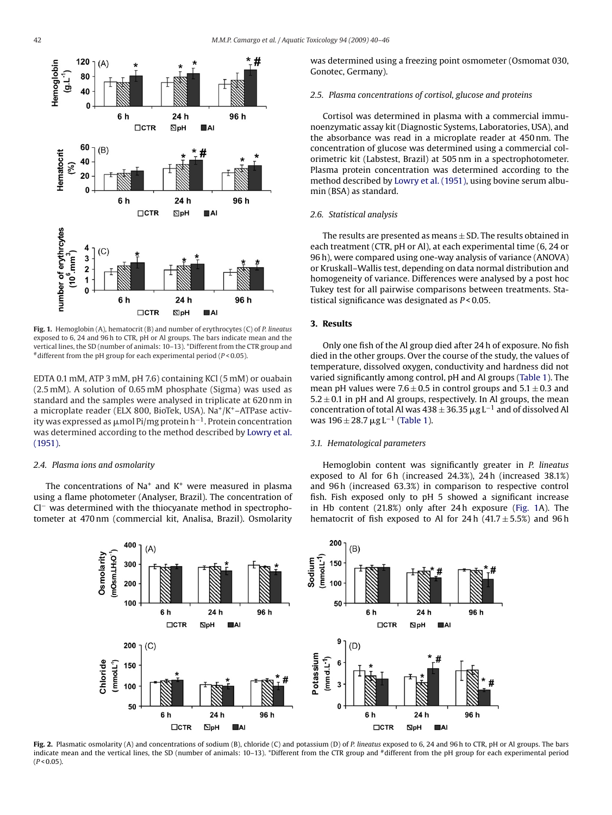<span id="page-2-0"></span>

**Fig. 1.** Hemoglobin (A), hematocrit (B) and number of erythrocytes (C) of *P. lineatus* exposed to 6, 24 and 96 h to CTR, pH or Al groups. The bars indicate mean and the vertical lines, the SD (number of animals: 10–13). \*Different from the CTR group and #different from the pH group for each experimental period (*P* < 0.05).

EDTA 0.1 mM, ATP 3 mM, pH 7.6) containing KCl (5 mM) or ouabain (2.5 mM). A solution of 0.65 mM phosphate (Sigma) was used as standard and the samples were analysed in triplicate at 620 nm in a microplate reader (ELX 800, BioTek, USA). Na $^+/K^+$ –ATPase activity was expressed as  $\mu$ mol Pi/mg protein h $^{-1}.$  Protein concentration was determined according to the method described by [Lowry et al.](#page-6-0) [\(1951\).](#page-6-0)

#### *2.4. Plasma ions and osmolarity*

The concentrations of  $Na<sup>+</sup>$  and  $K<sup>+</sup>$  were measured in plasma using a flame photometer (Analyser, Brazil). The concentration of Cl− was determined with the thiocyanate method in spectrophotometer at 470 nm (commercial kit, Analisa, Brazil). Osmolarity was determined using a freezing point osmometer (Osmomat 030, Gonotec, Germany).

#### *2.5. Plasma concentrations of cortisol, glucose and proteins*

Cortisol was determined in plasma with a commercial immunoenzymatic assay kit (Diagnostic Systems, Laboratories, USA), and the absorbance was read in a microplate reader at 450 nm. The concentration of glucose was determined using a commercial colorimetric kit (Labstest, Brazil) at 505 nm in a spectrophotometer. Plasma protein concentration was determined according to the method described by [Lowry et al. \(1951\), u](#page-6-0)sing bovine serum albumin (BSA) as standard.

#### *2.6. Statistical analysis*

The results are presented as means  $\pm$  SD. The results obtained in each treatment (CTR, pH or Al), at each experimental time (6, 24 or 96 h), were compared using one-way analysis of variance (ANOVA) or Kruskall–Wallis test, depending on data normal distribution and homogeneity of variance. Differences were analysed by a post hoc Tukey test for all pairwise comparisons between treatments. Statistical significance was designated as *P* < 0.05.

### **3. Results**

Only one fish of the Al group died after 24 h of exposure. No fish died in the other groups. Over the course of the study, the values of temperature, dissolved oxygen, conductivity and hardness did not varied significantly among control, pH and Al groups [\(Table 1\).](#page-1-0) The mean pH values were  $7.6 \pm 0.5$  in control groups and  $5.1 \pm 0.3$  and  $5.2 \pm 0.1$  in pH and Al groups, respectively. In Al groups, the mean concentration of total Al was  $438 \pm 36.35 \,\mathrm{\upmu}\mathrm{g}\,\mathrm{L}^{-1}$  and of dissolved Al was  $196 \pm 28.7 \,\mu g \, L^{-1}$  ([Table 1\).](#page-1-0)

#### *3.1. Hematological parameters*

Hemoglobin content was significantly greater in *P. lineatus* exposed to Al for 6 h (increased 24.3%), 24 h (increased 38.1%) and 96 h (increased 63.3%) in comparison to respective control fish. Fish exposed only to pH 5 showed a significant increase in Hb content (21.8%) only after 24 h exposure (Fig. 1A). The hematocrit of fish exposed to Al for  $24 h$  ( $41.7 \pm 5.5$ %) and  $96 h$ 



**Fig. 2.** Plasmatic osmolarity (A) and concentrations of sodium (B), chloride (C) and potassium (D) of *P. lineatus* exposed to 6, 24 and 96 h to CTR, pH or Al groups. The bars indicate mean and the vertical lines, the SD (number of animals: 10-13). \*Different from the CTR group and #different from the pH group for each experimental period  $(P < 0.05)$ .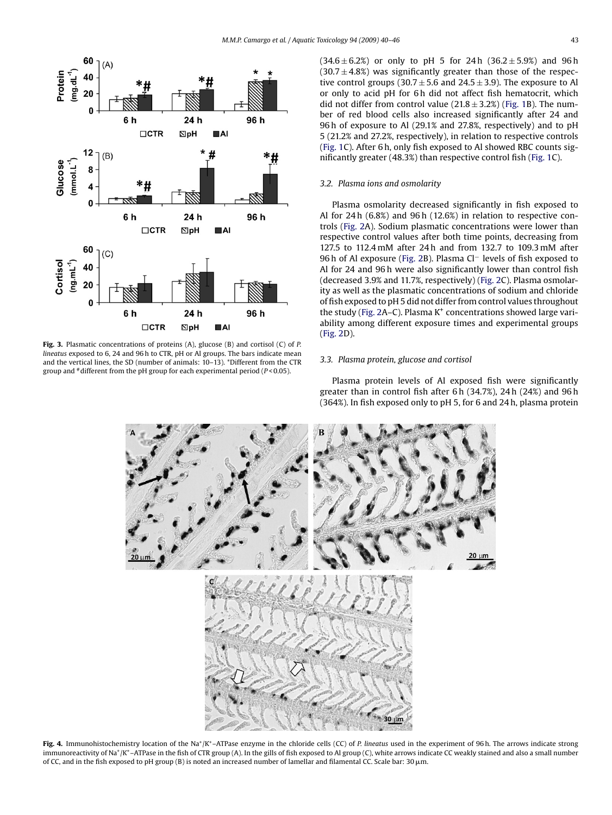<span id="page-3-0"></span>

**Fig. 3.** Plasmatic concentrations of proteins (A), glucose (B) and cortisol (C) of *P. lineatus* exposed to 6, 24 and 96 h to CTR, pH or Al groups. The bars indicate mean and the vertical lines, the SD (number of animals: 10–13). \*Different from the CTR group and #different from the pH group for each experimental period (*P* < 0.05).

#### *3.2. Plasma ions and osmolarity*

Plasma osmolarity decreased significantly in fish exposed to Al for 24 h (6.8%) and 96 h (12.6%) in relation to respective controls [\(Fig. 2A](#page-2-0)). Sodium plasmatic concentrations were lower than respective control values after both time points, decreasing from 127.5 to 112.4 mM after 24 h and from 132.7 to 109.3 mM after 96 h of Al exposure [\(Fig. 2B](#page-2-0)). Plasma Cl<sup>−</sup> levels of fish exposed to Al for 24 and 96 h were also significantly lower than control fish (decreased 3.9% and 11.7%, respectively) ([Fig. 2C\)](#page-2-0). Plasma osmolarity as well as the plasmatic concentrations of sodium and chloride of fish exposed to pH 5 did not differ from control values throughout the study ([Fig. 2A](#page-2-0)–C). Plasma  $K^+$  concentrations showed large variability among different exposure times and experimental groups [\(Fig. 2D](#page-2-0)).

#### *3.3. Plasma protein, glucose and cortisol*

Plasma protein levels of Al exposed fish were significantly greater than in control fish after 6 h (34.7%), 24 h (24%) and 96 h (364%). In fish exposed only to pH 5, for 6 and 24 h, plasma protein



**Fig. 4.** Immunohistochemistry location of the Na+/K+–ATPase enzyme in the chloride cells (CC) of *P. lineatus* used in the experiment of 96 h. The arrows indicate strong immunoreactivity of Na<sup>+</sup>/K<sup>+</sup>-ATPase in the fish of CTR group (A). In the gills of fish exposed to Al group (C), white arrows indicate CC weakly stained and also a small number of CC, and in the fish exposed to pH group (B) is noted an increased number of lamellar and filamental CC. Scale bar: 30  $\mu$ m.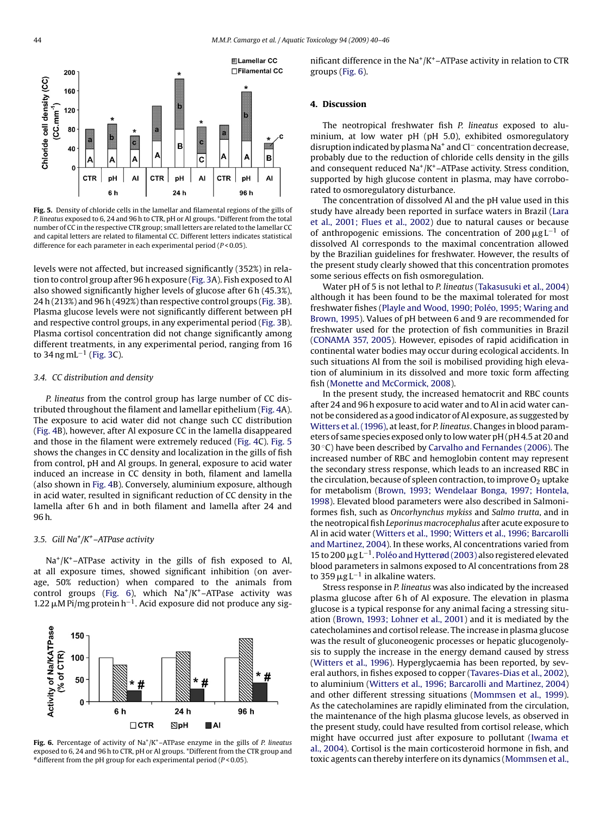

**Fig. 5.** Density of chloride cells in the lamellar and filamental regions of the gills of *P. lineatus* exposed to 6, 24 and 96 h to CTR, pH or Al groups. \*Different from the total number of CC in the respective CTR group; small letters are related to the lamellar CC and capital letters are related to filamental CC. Different letters indicates statistical difference for each parameter in each experimental period (*P* < 0.05).

levels were not affected, but increased significantly (352%) in relation to control group after 96 h exposure ([Fig. 3A\)](#page-3-0). Fish exposed to Al also showed significantly higher levels of glucose after 6 h (45.3%), 24 h (213%) and 96 h (492%) than respective control groups ([Fig. 3B\)](#page-3-0). Plasma glucose levels were not significantly different between pH and respective control groups, in any experimental period ([Fig. 3B\)](#page-3-0). Plasma cortisol concentration did not change significantly among different treatments, in any experimental period, ranging from 16 to 34 ng mL<sup>-1</sup> ([Fig. 3C\)](#page-3-0).

#### *3.4. CC distribution and density*

*P. lineatus* from the control group has large number of CC distributed throughout the filament and lamellar epithelium [\(Fig. 4A](#page-3-0)). The exposure to acid water did not change such CC distribution ([Fig. 4B\)](#page-3-0), however, after Al exposure CC in the lamella disappeared and those in the filament were extremely reduced [\(Fig. 4C](#page-3-0)). Fig. 5 shows the changes in CC density and localization in the gills of fish from control, pH and Al groups. In general, exposure to acid water induced an increase in CC density in both, filament and lamella (also shown in [Fig. 4B\)](#page-3-0). Conversely, aluminium exposure, although in acid water, resulted in significant reduction of CC density in the lamella after 6 h and in both filament and lamella after 24 and 96 h.

#### *3.5. Gill Na+/K+–ATPase activity*

 $Na^{+}/K^{+}$ –ATPase activity in the gills of fish exposed to Al, at all exposure times, showed significant inhibition (on average, 50% reduction) when compared to the animals from control groups (Fig. 6), which  $Na^+/K^+$ –ATPase activity was 1.22  $\mu$ M Pi/mg protein h<sup>-1</sup>. Acid exposure did not produce any sig-



**Fig. 6.** Percentage of activity of Na+/K+–ATPase enzyme in the gills of *P. lineatus* exposed to 6, 24 and 96 h to CTR, pH or Al groups. \*Different from the CTR group and #different from the pH group for each experimental period (*P* < 0.05).

nificant difference in the  $\text{Na}^+/K^+$ –ATPase activity in relation to CTR groups (Fig. 6).

#### **4. Discussion**

The neotropical freshwater fish *P. lineatus* exposed to aluminium, at low water pH (pH 5.0), exhibited osmoregulatory disruption indicated by plasma Na+ and Cl<sup>−</sup> concentration decrease, probably due to the reduction of chloride cells density in the gills and consequent reduced  $\text{Na}^+/ \text{K}^+$ –ATPase activity. Stress condition, supported by high glucose content in plasma, may have corroborated to osmoregulatory disturbance.

The concentration of dissolved Al and the pH value used in this study have already been reported in surface waters in Brazil ([Lara](#page-6-0) [et al., 2001; Flues et al., 2002\)](#page-6-0) due to natural causes or because of anthropogenic emissions. The concentration of 200  $\mu$ g L<sup>-1</sup> of dissolved Al corresponds to the maximal concentration allowed by the Brazilian guidelines for freshwater. However, the results of the present study clearly showed that this concentration promotes some serious effects on fish osmoregulation.

Water pH of 5 is not lethal to *P. lineatus* ([Takasusuki et al., 2004\)](#page-6-0) although it has been found to be the maximal tolerated for most freshwater fishes ([Playle and Wood, 1990; Poléo, 1995; Waring and](#page-6-0) [Brown, 1995\).](#page-6-0) Values of pH between 6 and 9 are recommended for freshwater used for the protection of fish communities in Brazil [\(CONAMA 357, 2005\).](#page-6-0) However, episodes of rapid acidification in continental water bodies may occur during ecological accidents. In such situations Al from the soil is mobilised providing high elevation of aluminium in its dissolved and more toxic form affecting fish [\(Monette and McCormick, 2008\).](#page-6-0)

In the present study, the increased hematocrit and RBC counts after 24 and 96 h exposure to acid water and to Al in acid water cannot be considered as a good indicator of Al exposure, as suggested by [Witters et al. \(1996\), a](#page-6-0)t least, for *P. lineatus*. Changes in blood parameters of same species exposed only to low water pH (pH 4.5 at 20 and 30 $\degree$ C) have been described by [Carvalho and Fernandes \(2006\). T](#page-5-0)he increased number of RBC and hemoglobin content may represent the secondary stress response, which leads to an increased RBC in the circulation, because of spleen contraction, to improve  $O<sub>2</sub>$  uptake for metabolism [\(Brown, 1993; Wendelaar Bonga, 1997; Hontela,](#page-5-0) [1998\).](#page-5-0) Elevated blood parameters were also described in Salmoniformes fish, such as *Oncorhynchus mykiss* and *Salmo trutta*, and in the neotropical fish *Leporinus macrocephalus* after acute exposure to Al in acid water ([Witters et al., 1990; Witters et al., 1996; Barcarolli](#page-6-0) [and Martinez, 2004\).](#page-6-0) In these works, Al concentrations varied from 15 to 200  $\mu$ g L<sup>-1</sup>. [Poléo and Hytterød \(2003\)](#page-6-0) also registered elevated blood parameters in salmons exposed to Al concentrations from 28 to 359  $\mu$ g L<sup>-1</sup> in alkaline waters.

Stress response in *P. lineatus* was also indicated by the increased plasma glucose after 6 h of Al exposure. The elevation in plasma glucose is a typical response for any animal facing a stressing situation [\(Brown, 1993; Lohner et al., 2001\)](#page-5-0) and it is mediated by the catecholamines and cortisol release. The increase in plasma glucose was the result of gluconeogenic processes or hepatic glucogenolysis to supply the increase in the energy demand caused by stress [\(Witters et al., 1996\).](#page-6-0) Hyperglycaemia has been reported, by several authors, in fishes exposed to copper ([Tavares-Dias et al., 2002\),](#page-6-0) to aluminium ([Witters et al., 1996; Barcarolli and Martinez, 2004\)](#page-6-0) and other different stressing situations [\(Mommsen et al., 1999\).](#page-6-0) As the catecholamines are rapidly eliminated from the circulation, the maintenance of the high plasma glucose levels, as observed in the present study, could have resulted from cortisol release, which might have occurred just after exposure to pollutant [\(Iwama et](#page-6-0) [al., 2004\).](#page-6-0) Cortisol is the main corticosteroid hormone in fish, and toxic agents can thereby interfere on its dynamics ([Mommsen et al.,](#page-6-0)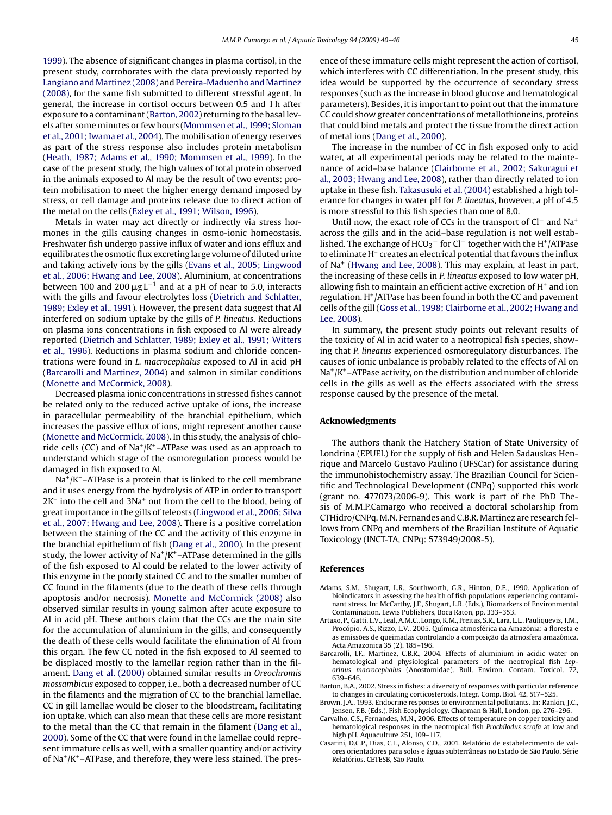<span id="page-5-0"></span>[1999\).](#page-6-0) The absence of significant changes in plasma cortisol, in the present study, corroborates with the data previously reported by [Langiano and Martinez \(2008\)](#page-6-0) and [Pereira-Maduenho and Martinez](#page-6-0) [\(2008\), f](#page-6-0)or the same fish submitted to different stressful agent. In general, the increase in cortisol occurs between 0.5 and 1 h after exposure to a contaminant (Barton, 2002) returning to the basal levels after some minutes or few hours ([Mommsen et al., 1999; Sloman](#page-6-0) [et al., 2001; Iwama et al., 2004\).](#page-6-0) The mobilisation of energy reserves as part of the stress response also includes protein metabolism ([Heath, 1987; Adams et al., 1990; Mommsen et al., 1999\).](#page-6-0) In the case of the present study, the high values of total protein observed in the animals exposed to Al may be the result of two events: protein mobilisation to meet the higher energy demand imposed by stress, or cell damage and proteins release due to direct action of the metal on the cells ([Exley et al., 1991; Wilson, 1996\).](#page-6-0)

Metals in water may act directly or indirectly via stress hormones in the gills causing changes in osmo-ionic homeostasis. Freshwater fish undergo passive influx of water and ions efflux and equilibrates the osmotic flux excreting large volume of diluted urine and taking actively ions by the gills ([Evans et al., 2005; Lingwood](#page-6-0) [et al., 2006; Hwang and Lee, 2008\).](#page-6-0) Aluminium, at concentrations between 100 and 200  $\mu$ g L<sup>-1</sup> and at a pH of near to 5.0, interacts with the gills and favour electrolytes loss ([Dietrich and Schlatter,](#page-6-0) [1989; Exley et al., 1991\).](#page-6-0) However, the present data suggest that Al interfered on sodium uptake by the gills of *P. lineatus*. Reductions on plasma ions concentrations in fish exposed to Al were already reported ([Dietrich and Schlatter, 1989; Exley et al., 1991; Witters](#page-6-0) [et al., 1996\).](#page-6-0) Reductions in plasma sodium and chloride concentrations were found in *L. macrocephalus* exposed to Al in acid pH (Barcarolli and Martinez, 2004) and salmon in similar conditions ([Monette and McCormick, 2008\).](#page-6-0)

Decreased plasma ionic concentrations in stressed fishes cannot be related only to the reduced active uptake of ions, the increase in paracellular permeability of the branchial epithelium, which increases the passive efflux of ions, might represent another cause ([Monette and McCormick, 2008\).](#page-6-0) In this study, the analysis of chloride cells (CC) and of  $Na^+/K^+$ –ATPase was used as an approach to understand which stage of the osmoregulation process would be damaged in fish exposed to Al.

 $Na<sup>+</sup>/K<sup>+</sup> -ATPase$  is a protein that is linked to the cell membrane and it uses energy from the hydrolysis of ATP in order to transport  $2K<sup>+</sup>$  into the cell and  $3Na<sup>+</sup>$  out from the cell to the blood, being of great importance in the gills of teleosts ([Lingwood et al., 2006; Silva](#page-6-0) [et al., 2007; Hwang and Lee, 2008\).](#page-6-0) There is a positive correlation between the staining of the CC and the activity of this enzyme in the branchial epithelium of fish [\(Dang et al., 2000\).](#page-6-0) In the present study, the lower activity of  $Na^+/K^+$ –ATPase determined in the gills of the fish exposed to Al could be related to the lower activity of this enzyme in the poorly stained CC and to the smaller number of CC found in the filaments (due to the death of these cells through apoptosis and/or necrosis). [Monette and McCormick \(2008\)](#page-6-0) also observed similar results in young salmon after acute exposure to Al in acid pH. These authors claim that the CCs are the main site for the accumulation of aluminium in the gills, and consequently the death of these cells would facilitate the elimination of Al from this organ. The few CC noted in the fish exposed to Al seemed to be displaced mostly to the lamellar region rather than in the filament. [Dang et al. \(2000\)](#page-6-0) obtained similar results in *Oreochromis mossambicus* exposed to copper, i.e., both a decreased number of CC in the filaments and the migration of CC to the branchial lamellae. CC in gill lamellae would be closer to the bloodstream, facilitating ion uptake, which can also mean that these cells are more resistant to the metal than the CC that remain in the filament [\(Dang et al.,](#page-6-0) [2000\).](#page-6-0) Some of the CC that were found in the lamellae could represent immature cells as well, with a smaller quantity and/or activity of  $Na^+/K^+$ –ATPase, and therefore, they were less stained. The presence of these immature cells might represent the action of cortisol, which interferes with CC differentiation. In the present study, this idea would be supported by the occurrence of secondary stress responses (such as the increase in blood glucose and hematological parameters). Besides, it is important to point out that the immature CC could show greater concentrations of metallothioneins, proteins that could bind metals and protect the tissue from the direct action of metal ions ([Dang et al., 2000\).](#page-6-0)

The increase in the number of CC in fish exposed only to acid water, at all experimental periods may be related to the maintenance of acid–base balance [\(Clairborne et al., 2002; Sakuragui et](#page-6-0) [al., 2003; Hwang and Lee, 2008\),](#page-6-0) rather than directly related to ion uptake in these fish. [Takasusuki et al. \(2004\)](#page-6-0) established a high tolerance for changes in water pH for *P. lineatus*, however, a pH of 4.5 is more stressful to this fish species than one of 8.0.

Until now, the exact role of CCs in the transport of Cl<sup>−</sup> and Na<sup>+</sup> across the gills and in the acid–base regulation is not well established. The exchange of  $HCO<sub>3</sub><sup>-</sup>$  for Cl<sup>-</sup> together with the H<sup>+</sup>/ATPase to eliminate H<sup>+</sup> creates an electrical potential that favours the influx of Na+ ([Hwang and Lee, 2008\).](#page-6-0) This may explain, at least in part, the increasing of these cells in *P. lineatus* exposed to low water pH, allowing fish to maintain an efficient active excretion of  $H^+$  and ion regulation. H<sup>+</sup>/ATPase has been found in both the CC and pavement cells of the gill ([Goss et al., 1998; Clairborne et al., 2002; Hwang and](#page-6-0) [Lee, 2008\).](#page-6-0)

In summary, the present study points out relevant results of the toxicity of Al in acid water to a neotropical fish species, showing that *P. lineatus* experienced osmoregulatory disturbances. The causes of ionic unbalance is probably related to the effects of Al on  $Na<sup>+</sup>/K<sup>+</sup> - ATPase activity, on the distribution and number of chloride$ cells in the gills as well as the effects associated with the stress response caused by the presence of the metal.

#### **Acknowledgments**

The authors thank the Hatchery Station of State University of Londrina (EPUEL) for the supply of fish and Helen Sadauskas Henrique and Marcelo Gustavo Paulino (UFSCar) for assistance during the immunohistochemistry assay. The Brazilian Council for Scientific and Technological Development (CNPq) supported this work (grant no. 477073/2006-9). This work is part of the PhD Thesis of M.M.P.Camargo who received a doctoral scholarship from CTHidro/CNPq. M.N. Fernandes and C.B.R. Martinez are research fellows from CNPq and members of the Brazilian Institute of Aquatic Toxicology (INCT-TA, CNPq: 573949/2008-5).

#### **References**

- Adams, S.M., Shugart, L.R., Southworth, G.R., Hinton, D.E., 1990. Application of bioindicators in assessing the health of fish populations experiencing contaminant stress. In: McCarthy, J.F., Shugart, L.R. (Eds.), Biomarkers of Environmental Contamination. Lewis Publishers, Boca Raton, pp. 333–353.
- Artaxo, P., Gatti, L.V., Leal, A.M.C., Longo, K.M., Freitas, S.R., Lara, L.L., Pauliquevis, T.M., Procópio, A.S., Rizzo, L.V., 2005. Química atmosférica na Amazônia: a floresta e as emissões de queimadas controlando a composição da atmosfera amazônica. Acta Amazonica 35 (2), 185–196.
- Barcarolli, I.F., Martinez, C.B.R., 2004. Effects of aluminium in acidic water on hematological and physiological parameters of the neotropical fish *Leporinus macrocephalus* (Anostomidae). Bull. Environ. Contam. Toxicol. 72, 639–646.
- Barton, B.A., 2002. Stress in fishes: a diversity of responses with particular reference to changes in circulating corticosteroids. Integr. Comp. Biol. 42, 517–525.
- Brown, J.A., 1993. Endocrine responses to environmental pollutants. In: Rankin, J.C., Jensen, F.B. (Eds.), Fish Ecophysiology. Chapman & Hall, London, pp. 276–296.
- Carvalho, C.S., Fernandes, M.N., 2006. Effects of temperature on copper toxicity and hematological responses in the neotropical fish *Prochilodus scrofa* at low and high pH. Aquaculture 251, 109–117.
- Casarini, D.C.P., Dias, C.L., Alonso, C.D., 2001. Relatório de estabelecimento de valores orientadores para solos e águas subterrâneas no Estado de São Paulo. Série Relatórios. CETESB, São Paulo.